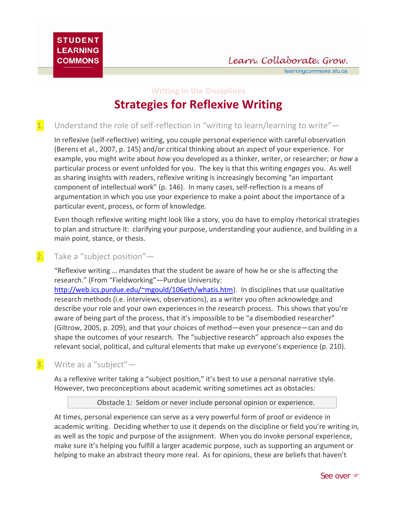learningcommons.sfu.ca

# **Writing in the Disciplines Strategies for Reflexive Writing**

1. Understand the role of self-reflection in "writing to learn/learning to write"—

In reflexive (self‐reflective) writing, you couple personal experience with careful observation (Berens et al., 2007, p. 145) and/or critical thinking about an aspect of your experience. For example, you might write about *how* you developed as a thinker, writer, or researcher; or *how* a particular process or event unfolded for you. The key is that this writing *engages* you. As well as sharing insights with readers, reflexive writing is increasingly becoming "an important component of intellectual work" (p. 146). In many cases, self‐reflection is a means of argumentation in which you use your experience to make a point about the importance of a particular event, process, or form of knowledge.

Even though reflexive writing might look like a story, you do have to employ rhetorical strategies to plan and structure it: clarifying your purpose, understanding your audience, and building in a main point, stance, or thesis.

## 2. Take a "subject position"-

"Reflexive writing … mandates that the student be aware of how he or she is affecting the research." (From "Fieldworking"—Purdue University:

http://web.ics.purdue.edu/~mgould/106eth/whatis.htm). In disciplines that use qualitative research methods (i.e. interviews, observations), as a writer you often acknowledge and describe your role and your own experiences in the research process. This shows that you're aware of being part of the process, that it's impossible to be "a disembodied researcher" (Giltrow, 2005, p. 209), and that your choices of method—even your presence—can and do shape the outcomes of your research. The "subjective research" approach also exposes the relevant social, political, and cultural elements that make up everyone's experience (p. 210).

## 3. Write as a "subject"-

As a reflexive writer taking a "subject position," it's best to use a personal narrative style. However, two preconceptions about academic writing sometimes act as obstacles:

Obstacle 1: Seldom or never include personal opinion or experience.

At times, personal experience can serve as a very powerful form of proof or evidence in academic writing. Deciding whether to use it depends on the discipline or field you're writing in, as well as the topic and purpose of the assignment. When you do invoke personal experience, make sure it's helping you fulfill a larger academic purpose, such as supporting an argument or helping to make an abstract theory more real. As for opinions, these are beliefs that haven't